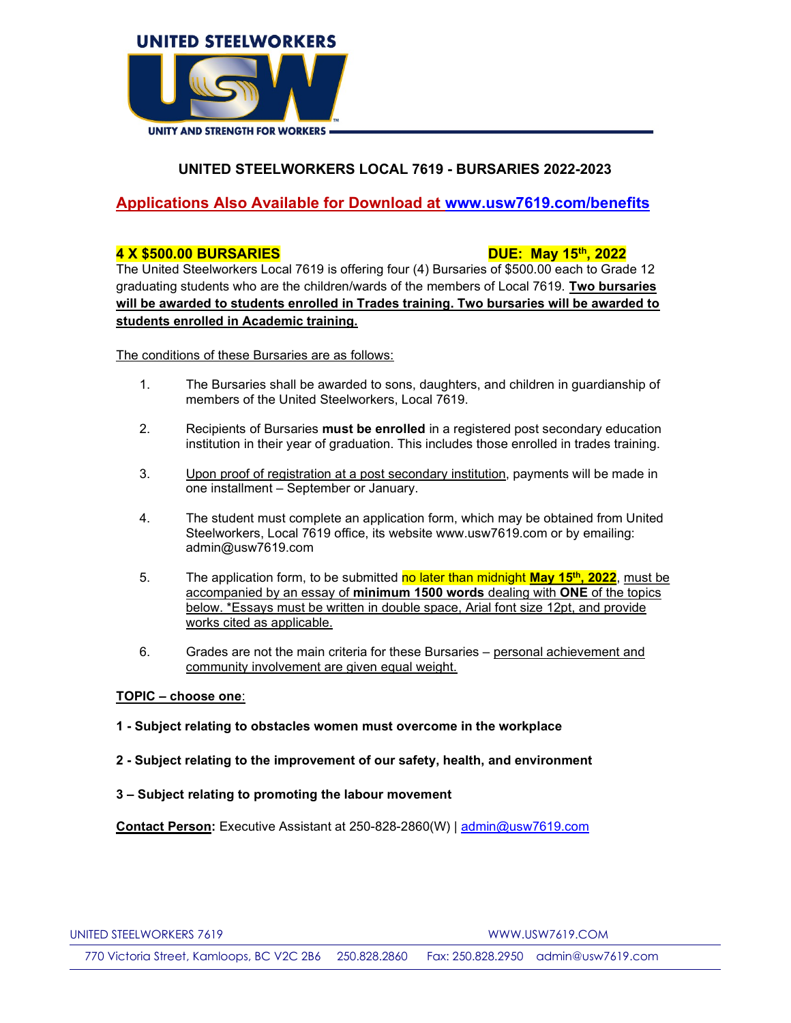

# UNITED STEELWORKERS LOCAL 7619 - BURSARIES 2022-2023

## Applications Also Available for Download at www.usw7619.com/benefits

### 4 X \$500.00 BURSARIES DUE: May 15th, 2022

The United Steelworkers Local 7619 is offering four (4) Bursaries of \$500.00 each to Grade 12 graduating students who are the children/wards of the members of Local 7619. Two bursaries will be awarded to students enrolled in Trades training. Two bursaries will be awarded to students enrolled in Academic training.

The conditions of these Bursaries are as follows:

- 1. The Bursaries shall be awarded to sons, daughters, and children in guardianship of members of the United Steelworkers, Local 7619.
- 2. Recipients of Bursaries must be enrolled in a registered post secondary education institution in their year of graduation. This includes those enrolled in trades training.
- 3. Upon proof of registration at a post secondary institution, payments will be made in one installment – September or January.
- 4. The student must complete an application form, which may be obtained from United Steelworkers, Local 7619 office, its website www.usw7619.com or by emailing: admin@usw7619.com
- 5. The application form, to be submitted no later than midnight **May 15<sup>th</sup>, 2022**, must be accompanied by an essay of minimum 1500 words dealing with ONE of the topics below. \*Essays must be written in double space, Arial font size 12pt, and provide works cited as applicable.
- 6. Grades are not the main criteria for these Bursaries personal achievement and community involvement are given equal weight.

## TOPIC – choose one:

- 1 Subject relating to obstacles women must overcome in the workplace
- 2 Subject relating to the improvement of our safety, health, and environment
- 3 Subject relating to promoting the labour movement

Contact Person: Executive Assistant at 250-828-2860(W) | admin@usw7619.com

770 Victoria Street, Kamloops, BC V2C 2B6 250.828.2860 Fax: 250.828.2950 admin@usw7619.com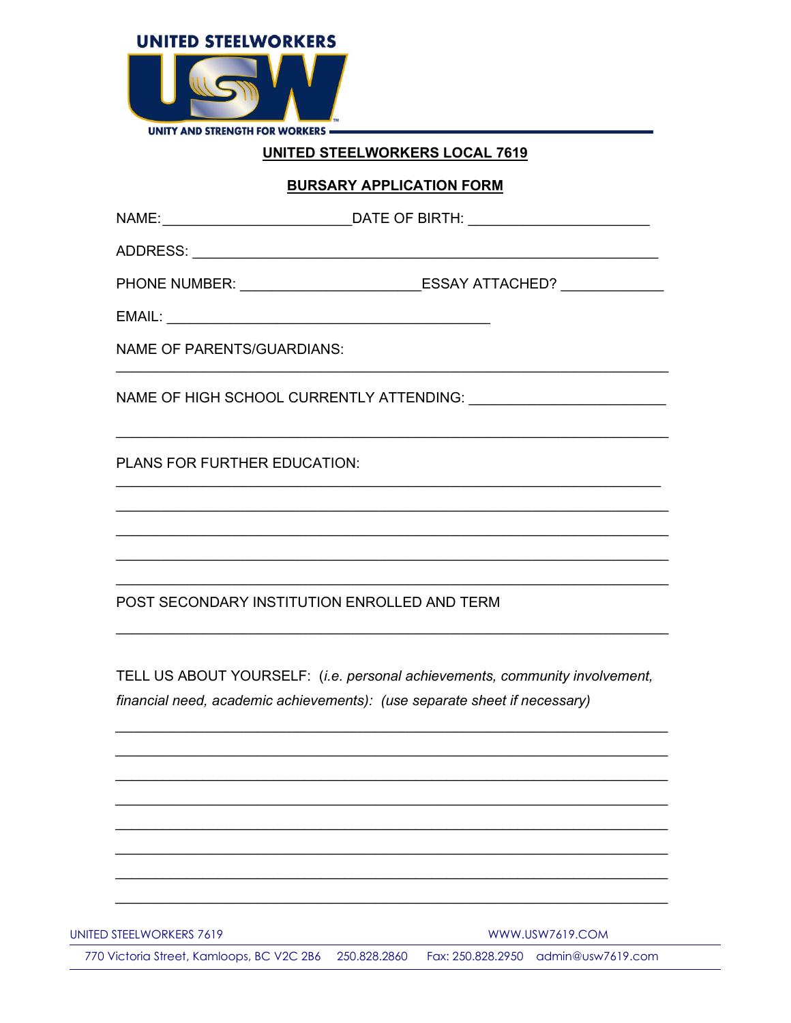

# **UNITED STEELWORKERS LOCAL 7619**

## **BURSARY APPLICATION FORM**

| EMAIL: New York Products and the contract of the contract of the contract of the contract of the contract of the contract of the contract of the contract of the contract of the contract of the contract of the contract of t |                                                                                                                                                  |
|--------------------------------------------------------------------------------------------------------------------------------------------------------------------------------------------------------------------------------|--------------------------------------------------------------------------------------------------------------------------------------------------|
| <b>NAME OF PARENTS/GUARDIANS:</b>                                                                                                                                                                                              |                                                                                                                                                  |
|                                                                                                                                                                                                                                | NAME OF HIGH SCHOOL CURRENTLY ATTENDING: University Analysis And Manuscript ATTENDING:                                                           |
| <b>PLANS FOR FURTHER EDUCATION:</b>                                                                                                                                                                                            | <u> 1989 - Johann Stoff, amerikansk politiker (d. 1989)</u>                                                                                      |
|                                                                                                                                                                                                                                | ,我们也不能在这里的时候,我们也不能在这里的时候,我们也不能会在这里的时候,我们也不能会在这里的时候,我们也不能会在这里的时候,我们也不能会在这里的时候,我们也不                                                                |
| POST SECONDARY INSTITUTION ENROLLED AND TERM                                                                                                                                                                                   | ,我们也不能在这里的时候,我们也不能在这里的时候,我们也不能不能不能会不能会不能会不能会不能会不能会不能会不能会不能会。<br>第2012章 我们的时候,我们的时候,我们的时候,我们的时候,我们的时候,我们的时候,我们的时候,我们的时候,我们的时候,我们的时候,我们的时候,我们的时候,我 |
|                                                                                                                                                                                                                                |                                                                                                                                                  |
|                                                                                                                                                                                                                                | TELL US ABOUT YOURSELF: (i.e. personal achievements, community involvement,                                                                      |
|                                                                                                                                                                                                                                | financial need, academic achievements): (use separate sheet if necessary)                                                                        |
|                                                                                                                                                                                                                                |                                                                                                                                                  |

UNITED STEELWORKERS 7619

**WWW.USW7619.COM** 

770 Victoria Street, Kamloops, BC V2C 2B6 250.828.2860 Fax: 250.828.2950 admin@usw7619.com